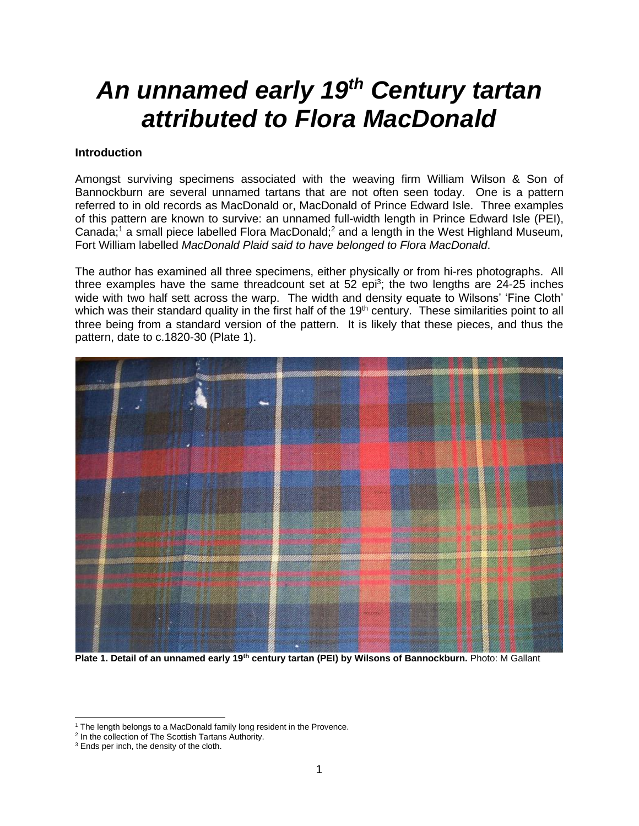# *An unnamed early 19th Century tartan attributed to Flora MacDonald*

#### **Introduction**

Amongst surviving specimens associated with the weaving firm William Wilson & Son of Bannockburn are several unnamed tartans that are not often seen today. One is a pattern referred to in old records as MacDonald or, MacDonald of Prince Edward Isle. Three examples of this pattern are known to survive: an unnamed full-width length in Prince Edward Isle (PEI), Canada;<sup>1</sup> a small piece labelled Flora MacDonald;<sup>2</sup> and a length in the West Highland Museum, Fort William labelled *MacDonald Plaid said to have belonged to Flora MacDonald*.

The author has examined all three specimens, either physically or from hi-res photographs. All three examples have the same threadcount set at  $52$  epi<sup>3</sup>; the two lengths are  $24$ -25 inches wide with two half sett across the warp. The width and density equate to Wilsons' 'Fine Cloth' which was their standard quality in the first half of the 19<sup>th</sup> century. These similarities point to all three being from a standard version of the pattern. It is likely that these pieces, and thus the pattern, date to c.1820-30 (Plate 1).



**Plate 1. Detail of an unnamed early 19th century tartan (PEI) by Wilsons of Bannockburn.** Photo: M Gallant

<sup>&</sup>lt;sup>1</sup> The length belongs to a MacDonald family long resident in the Provence.

<sup>&</sup>lt;sup>2</sup> In the collection of The Scottish Tartans Authority.

<sup>&</sup>lt;sup>3</sup> Ends per inch, the density of the cloth.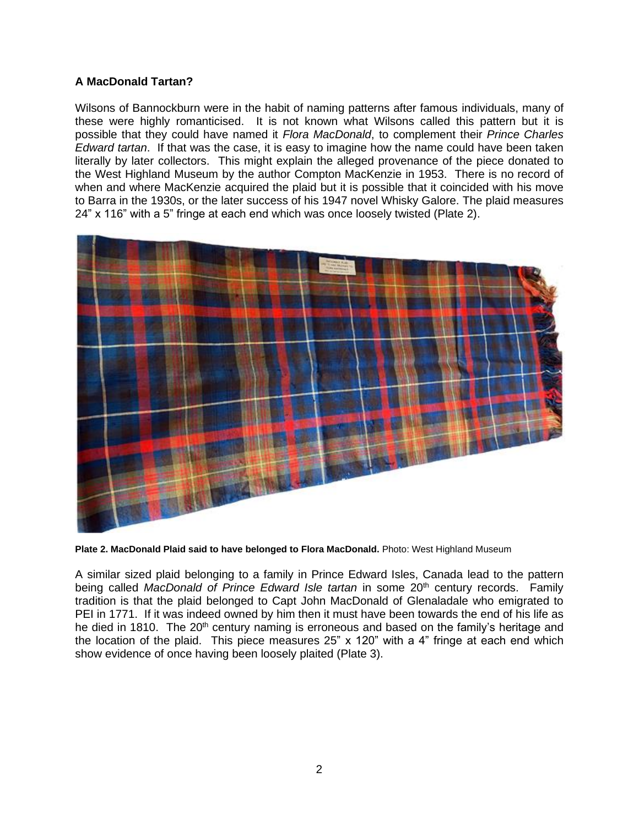## **A MacDonald Tartan?**

Wilsons of Bannockburn were in the habit of naming patterns after famous individuals, many of these were highly romanticised. It is not known what Wilsons called this pattern but it is possible that they could have named it *Flora MacDonald*, to complement their *Prince Charles Edward tartan*. If that was the case, it is easy to imagine how the name could have been taken literally by later collectors. This might explain the alleged provenance of the piece donated to the West Highland Museum by the author Compton MacKenzie in 1953. There is no record of when and where MacKenzie acquired the plaid but it is possible that it coincided with his move to Barra in the 1930s, or the later success of his 1947 novel Whisky Galore. The plaid measures 24" x 116" with a 5" fringe at each end which was once loosely twisted (Plate 2).



**Plate 2. MacDonald Plaid said to have belonged to Flora MacDonald.** Photo: West Highland Museum

A similar sized plaid belonging to a family in Prince Edward Isles, Canada lead to the pattern being called *MacDonald of Prince Edward Isle tartan* in some 20<sup>th</sup> century records. Family tradition is that the plaid belonged to Capt John MacDonald of Glenaladale who emigrated to PEI in 1771. If it was indeed owned by him then it must have been towards the end of his life as he died in 1810. The 20<sup>th</sup> century naming is erroneous and based on the family's heritage and the location of the plaid. This piece measures 25" x 120" with a 4" fringe at each end which show evidence of once having been loosely plaited (Plate 3).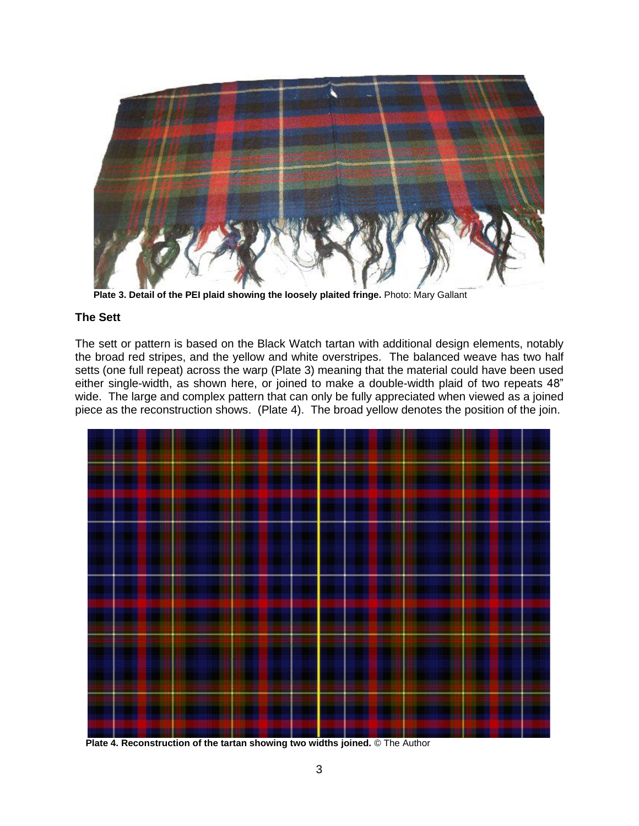

 **Plate 3. Detail of the PEI plaid showing the loosely plaited fringe.** Photo: Mary Gallant

## **The Sett**

The sett or pattern is based on the Black Watch tartan with additional design elements, notably the broad red stripes, and the yellow and white overstripes. The balanced weave has two half setts (one full repeat) across the warp (Plate 3) meaning that the material could have been used either single-width, as shown here, or joined to make a double-width plaid of two repeats 48" wide. The large and complex pattern that can only be fully appreciated when viewed as a joined piece as the reconstruction shows. (Plate 4). The broad yellow denotes the position of the join.



 **Plate 4. Reconstruction of the tartan showing two widths joined.** © The Author